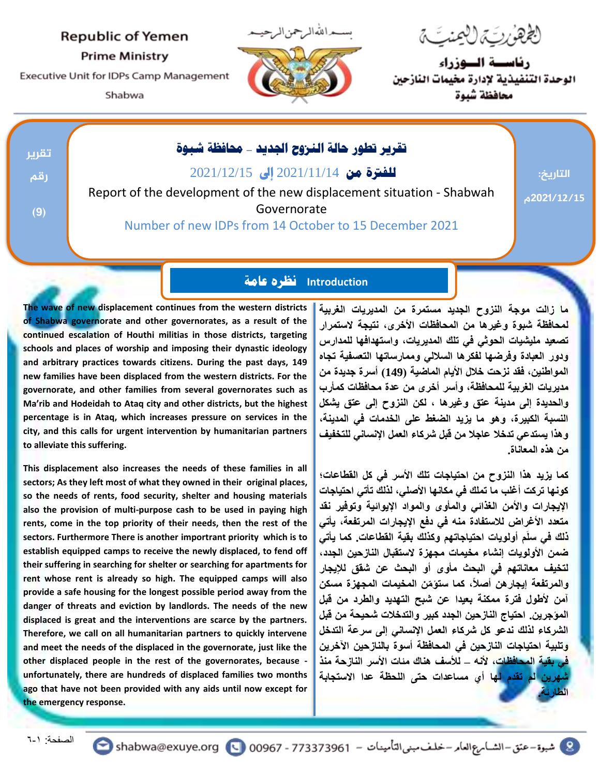#### **Republic of Yemen**

**Prime Ministry** 

Executive Unit for IDPs Camp Management

Shabwa



لِعُ هَزِيَ مِنْ لِلْمَنْتِ مِ

رناسسة السوزراء الوحدة التنفيذية لإدارة مخيمات النازحين محافظة شبوة

| تقرير | تقرير تطور حالة النروح الجديد _ محافظة شبوة                           |            |
|-------|-----------------------------------------------------------------------|------------|
| رقم   | <b>للفترة من 2</b> 021/11/14 إلى 2021/12/15                           | التاريخ:   |
|       | Report of the development of the new displacement situation - Shabwah | 2021/12/15 |
| (9)   | Governorate                                                           |            |
|       | Number of new IDPs from 14 October to 15 December 2021                |            |
|       |                                                                       |            |

### **Introduction نظره عامة**

**The wave of new displacement continues from the western districts of Shabwa governorate and other governorates, as a result of the continued escalation of Houthi militias in those districts, targeting schools and places of worship and imposing their dynastic ideology and arbitrary practices towards citizens. During the past days, 149 new families have been displaced from the western districts. For the governorate, and other families from several governorates such as Ma'rib and Hodeidah to Ataq city and other districts, but the highest percentage is in Ataq, which increases pressure on services in the city, and this calls for urgent intervention by humanitarian partners to alleviate this suffering.**

**This displacement also increases the needs of these families in all sectors; As they left most of what they owned in their original places, so the needs of rents, food security, shelter and housing materials also the provision of multi-purpose cash to be used in paying high rents, come in the top priority of their needs, then the rest of the sectors. Furthermore There is another importrant priority which is to establish equipped camps to receive the newly displaced, to fend off their suffering in searching for shelter or searching for apartments for rent whose rent is already so high. The equipped camps will also provide a safe housing for the longest possible period away from the danger of threats and eviction by landlords. The needs of the new displaced is great and the interventions are scarce by the partners. Therefore, we call on all humanitarian partners to quickly intervene and meet the needs of the displaced in the governorate, just like the other displaced people in the rest of the governorates, because unfortunately, there are hundreds of displaced families two months ago that have not been provided with any aids until now except for the emergency response.**

**ما زالت موجة النزوح الجديد مستمرة من المديريات الغربية لمحافظة شبوة وغيرها من المحافظات األخرى، نتيجة الستمرار تصعيد مليشيات الحوثي في تلك المديريات، واستهدافها للمدارس ودور العبادة وفرضها لفكرها الساللي وممارساتها التعسفية تجاه المواطنين، فقد نزحت خالل األيام الماضية )149( أسرة جديدة من مديريات الغربية للمحافظة، وأسر أخرى من عدة محافظات كمأرب والحديدة إلى مدينة عتق وغيرها ، لكن النزوح إلى عتق يشكل النسبة الكبيرة، وهو ما يزيد الضغط على الخدمات في المدينة، وهذا يستدعي تدخال عاجال من قبل شركاء العمل اإلنساني للتخفيف من هذه المعاناة.**

**كما يزيد هذا النزوح من احتياجات تلك األسر في كل القطاعات؛ كونها تركت أغلب ما تملك في مكانها األصلي، لذلك تأتي احتياجات اإليجارات واألمن الغذائي والمأوى والمواد اإليوائية وتوفير نقد متعدد األغراض لالستفادة منه في دفع اإليجارات المرتفعة، يأتي ذلك في سلَم أولويات احتياجاتهم وكذلك بقية القطاعات. كما يأتي ضمن األولويات إنشاء مخيمات مجهزة الستقبال النازحين الجدد، لتخيف معاناتهم في البحث مأوى أو البحث عن شقق لإليجار والمرتفعة إيجارهن أصال،ً كما ستؤ ّمن المخيمات المجهزة مسكن آمن ألطول فترة ممكنة بعيدا عن شبح التهديد والطرد من قبل المؤجرين. احتياج النازحين الجدد كبير والتدخالت شحيحة من قبل الشركاء لذلك ندعو كل شركاء العمل اإلنساني إلى سرعة التدخل وتلبية احتياجات النازحين في المحافظة أسوة بالنازحين اآلخرين في بقية المحافظات، ألنه – لألسف هناك مئات األسر النازحة منذ شهرين لم تقدم لها أي مساعدات حتى اللحظة عدا االستجابة الطارئة.**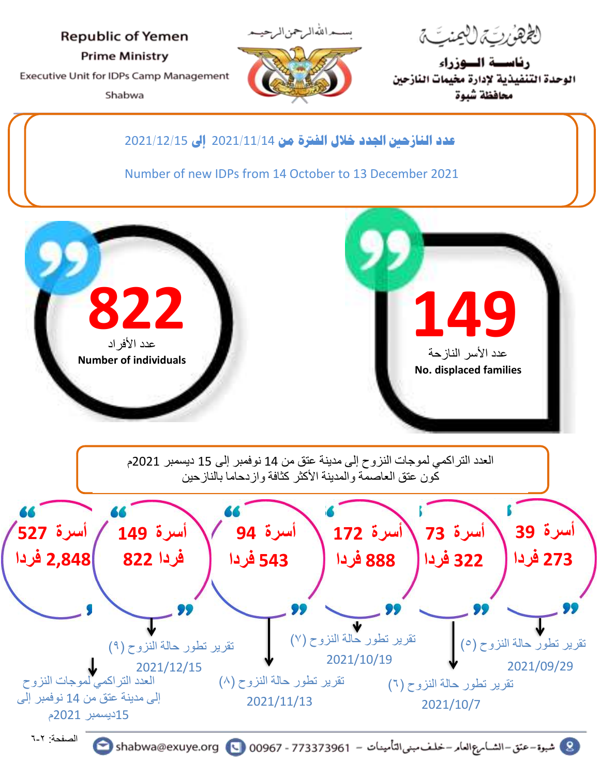**Republic of Yemen Prime Ministry** Executive Unit for IDPs Camp Management Shabwa



ل*غُهْنُ ئِيَّة لِلْعِنْتِيَّ* 

رئاسسة السوزراء الوحدة التنفيذية لإدارة مخيمات النازحين محافظة شبوة

**عدد النازحني اجلدد خالل الفرتة من** 2021**/**11**/**14 **إىل** 2021**/**12**/**15

Number of new IDPs from 14 October to 13 December 2021



كون عتق العاصمة والمدينة الأكثر كثافة واز دحاما بالنازحين



الصفحة: 6-2

C شبوة - عتق - الشسام ع العام - خلف مبنى التأمينات - 00967 - 00967 - 00967 shabwa@exuye.org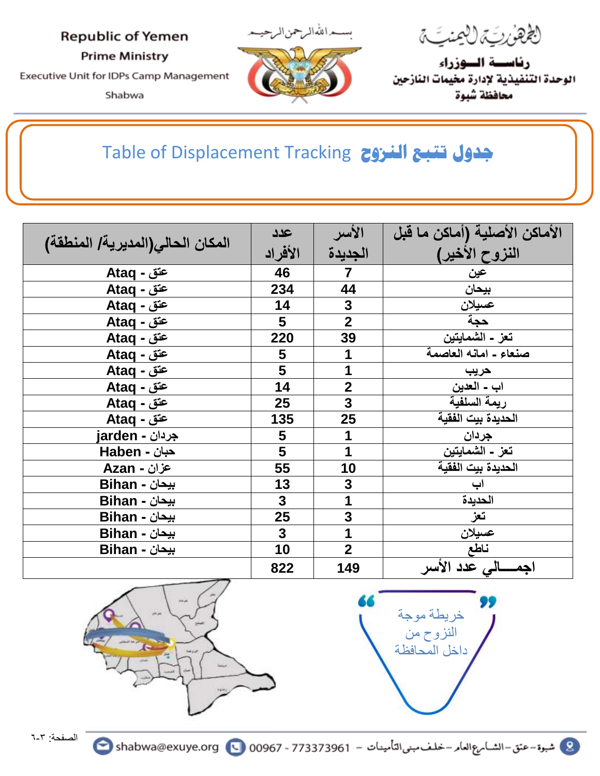### **Republic of Yemen**

**Prime Ministry** 

Executive Unit for IDPs Camp Management

Shabwa



لَعُ *هَنُ لِيَّةٍ لِأَلْمِنْتِ مَّ* 

رئاسسة السوزراء الوحدة التنفيذية لإدارة مخيمات النازحين محافظة شبوة

## Table of Displacement Tracking **النزوح تتبع جدول**

|                                  | عدد                     | الأسر                   | الأماكن الأصلية (أماكن ما قبل |
|----------------------------------|-------------------------|-------------------------|-------------------------------|
| المكان الحالي(المديرية/ المنطقة) | الأفراد                 | الجديدة                 | النزوح الأخير)                |
| عتق - Ataq                       | 46                      | $\overline{7}$          | عين                           |
| عتق - Ataq                       | 234                     | 44                      | بيحان                         |
| عتق - Ataq                       | 14                      | $\mathbf{3}$            | عسيلان                        |
| عتق - Ataq                       | 5                       | $\overline{2}$          | حجة                           |
| عتق - Ataq                       | 220                     | 39                      | تعز ـ الشمايتين               |
| عتق - Ataq                       | 5                       | 1                       | صنعاء ـ امانه العاصمة         |
| عتق - Ataq                       | 5                       | $\overline{\mathbf{1}}$ | حريب                          |
| عتق - Ataq                       | 14                      | $\overline{2}$          | اب - العدين                   |
| عتق - Ataq                       | 25                      | $\overline{\mathbf{3}}$ | ريمة السلفية                  |
| عتق - Ataq                       | 135                     | 25                      | الحديدة بيت الفقية            |
| جردان - jarden                   | 5                       | 1                       | جردان                         |
| <b>حبان - Haben</b>              | 5                       | $\overline{1}$          | تعز ـ الشمايتين               |
| عزان - Azan                      | 55                      | 10                      | الحديدة بيت الفقية            |
| بيحان - Bihan                    | 13                      | 3                       | اب                            |
| بيحان - Bihan                    | $\overline{3}$          | $\mathbf{1}$            | الحديدة                       |
| بيحان - Bihan                    | 25                      | $\mathbf{3}$            | تعز                           |
| بيحان - Bihan                    | $\overline{\mathbf{3}}$ | 1                       | عسيلان                        |
| بيحان - Bihan                    | 10                      | $\overline{2}$          | ناطع                          |
|                                  | 822                     | 149                     | اجمــــالى عدد الأسر          |



DO خريطة موجة النزوح من داخل المحافظة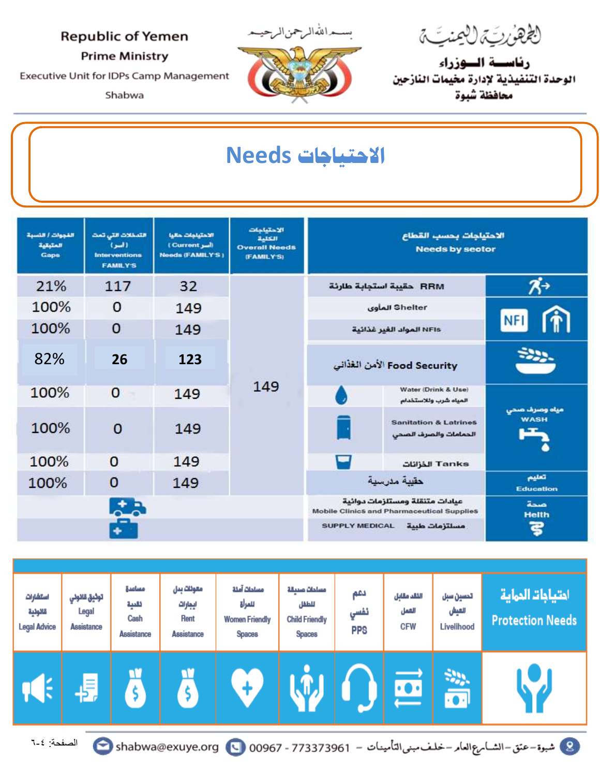لِعُهْرُبِّة لِلْمِنتِّة

رئاسسة السوزراء الوحدة التنفيذية لإدارة مخيمات النازحين محافظة شبوة

### **Republic of Yemen**

**Prime Ministry** 

Executive Unit for IDPs Camp Management

Shabwa



حراللهالمرجمن|لم

# الاحتياجات Needs

| القووات / النسبة<br>المتبقية<br>Gaps | التعظلات التى تمت<br>(اسر)<br><b>Interventions</b><br><b>FAMILY'S</b> | الاحتباحات حالبا<br>(Current Jul)<br><b>Needs (FAMILY'S)</b> | الاحتماعات<br>2.1511<br><b>Overall Needs</b><br>(FAMILY'S) | الاحتياجات بحسب القطاع<br><b>Needs by sector</b> |                                                                                     |                              |  |
|--------------------------------------|-----------------------------------------------------------------------|--------------------------------------------------------------|------------------------------------------------------------|--------------------------------------------------|-------------------------------------------------------------------------------------|------------------------------|--|
| 21%                                  | 117                                                                   | 32                                                           |                                                            |                                                  | RRM حقيبة استجابة طارئة                                                             | $\mathcal{R}^{\rightarrow}$  |  |
| 100%                                 | $\Omega$                                                              | 149                                                          |                                                            |                                                  | Shelter المأوى                                                                      |                              |  |
| 100%                                 | 0                                                                     | 149                                                          |                                                            | NFIs المواد الغير غذائية                         |                                                                                     | <b>NFI</b>                   |  |
| 82%                                  | 26                                                                    | 123                                                          |                                                            | Food Security الأمن الغذاني                      |                                                                                     | ż.                           |  |
| 100%                                 | $\Omega$                                                              | 149                                                          | 149                                                        |                                                  | Water (Drink & Use)<br>المياه شرب وللاستخدام                                        |                              |  |
| 100%                                 | $\overline{0}$                                                        | 149                                                          |                                                            |                                                  | <b>Sanitation &amp; Latrines</b><br>الحمامات والصرف الصحى                           | مياه وصرف صحى<br><b>WASH</b> |  |
| 100%                                 | $\Omega$                                                              | 149                                                          |                                                            |                                                  | Tanks الذزانات                                                                      |                              |  |
| 100%                                 | $\mathbf 0$                                                           | 149                                                          |                                                            | حقيبة مدرسية                                     |                                                                                     | تعليم<br><b>Education</b>    |  |
| <b>Latin</b>                         |                                                                       |                                                              |                                                            |                                                  | عيادات متنقلة ومستلزمات دوائية<br><b>Mobile Clinics and Pharmaceutical Supplies</b> | منحة<br><b>Helth</b>         |  |
|                                      |                                                                       |                                                              |                                                            | <b>SUPPLY MEDICAL</b>                            | ెకె                                                                                 |                              |  |

| استشارات<br>قالولية<br><b>Legal Advice</b>                                                                 | توثيق قائوني<br>Legal<br>Assistance | مساعدة<br>لقنية<br>Cash<br>Assistance | معولات بدل<br>ايجارات<br><b>Rent</b><br>Assistance | مساحات آملة<br>للمرأة<br><b>Women Friendly</b><br><b>Spaces</b> | مساحات صيبقة<br>للطفل<br><b>Child Friendly</b><br><b>Spaces</b> | دعم<br>تفسي<br><b>PPS</b> | اللقد مقابل<br>الهمل<br><b>CFW</b> | تحسين سبل<br>العيش<br>Livelihood | احتياجات الحماية<br><b>Protection Needs</b> |
|------------------------------------------------------------------------------------------------------------|-------------------------------------|---------------------------------------|----------------------------------------------------|-----------------------------------------------------------------|-----------------------------------------------------------------|---------------------------|------------------------------------|----------------------------------|---------------------------------------------|
| Е                                                                                                          | l≡'                                 |                                       |                                                    |                                                                 |                                                                 |                           |                                    |                                  |                                             |
| الصفحة: ٤-٦<br>8 شبوة - عتق - الشسام ع العام - خلف مبنى التأمينات - 00967 - 00967 - 00967 shabwa@exuye.org |                                     |                                       |                                                    |                                                                 |                                                                 |                           |                                    |                                  |                                             |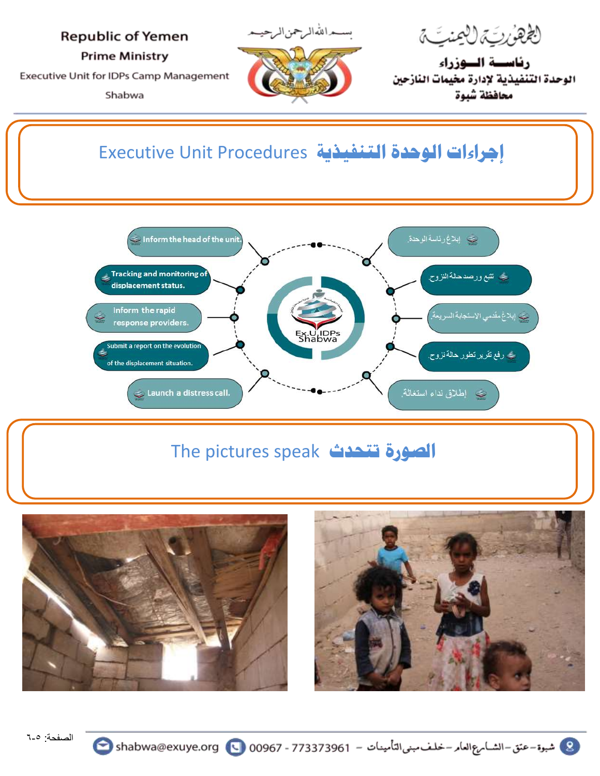### **Republic of Yemen**

**Prime Ministry** 

Executive Unit for IDPs Camp Management

Shabwa



لَ*ڴۿؽٚڕؾؚۜ؞ٙ*ڷڵؿ*ؾؾ*ٙ

رئاسسة السوزراء الوحدة التنفيذية لإدارة مخيمات النازحين محافظة شبوة

## **إجراءات الوحدة التنفيذية** Procedures Unit Executive



## The pictures speak **تتحدث الصورة**